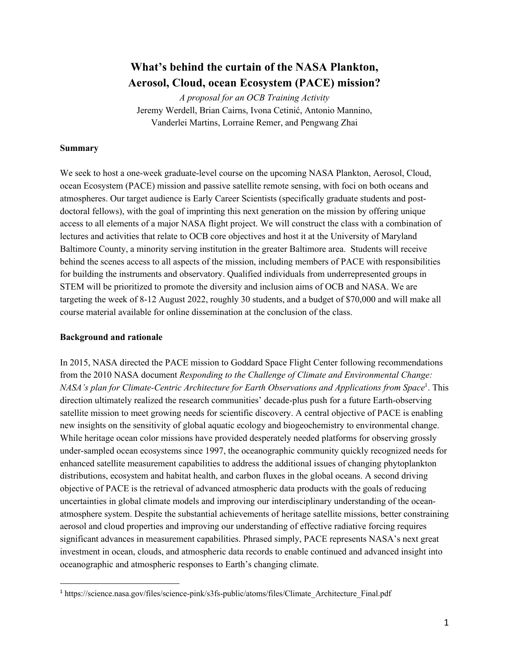# **What's behind the curtain of the NASA Plankton, Aerosol, Cloud, ocean Ecosystem (PACE) mission?**

*A proposal for an OCB Training Activity* Jeremy Werdell, Brian Cairns, Ivona Cetinić, Antonio Mannino, Vanderlei Martins, Lorraine Remer, and Pengwang Zhai

#### **Summary**

We seek to host a one-week graduate-level course on the upcoming NASA Plankton, Aerosol, Cloud, ocean Ecosystem (PACE) mission and passive satellite remote sensing, with foci on both oceans and atmospheres. Our target audience is Early Career Scientists (specifically graduate students and postdoctoral fellows), with the goal of imprinting this next generation on the mission by offering unique access to all elements of a major NASA flight project. We will construct the class with a combination of lectures and activities that relate to OCB core objectives and host it at the University of Maryland Baltimore County, a minority serving institution in the greater Baltimore area. Students will receive behind the scenes access to all aspects of the mission, including members of PACE with responsibilities for building the instruments and observatory. Qualified individuals from underrepresented groups in STEM will be prioritized to promote the diversity and inclusion aims of OCB and NASA. We are targeting the week of 8-12 August 2022, roughly 30 students, and a budget of \$70,000 and will make all course material available for online dissemination at the conclusion of the class.

#### **Background and rationale**

In 2015, NASA directed the PACE mission to Goddard Space Flight Center following recommendations from the 2010 NASA document *Responding to the Challenge of Climate and Environmental Change: NASA's plan for Climate-Centric Architecture for Earth Observations and Applications from Space<sup>1</sup>. This* direction ultimately realized the research communities' decade-plus push for a future Earth-observing satellite mission to meet growing needs for scientific discovery. A central objective of PACE is enabling new insights on the sensitivity of global aquatic ecology and biogeochemistry to environmental change. While heritage ocean color missions have provided desperately needed platforms for observing grossly under-sampled ocean ecosystems since 1997, the oceanographic community quickly recognized needs for enhanced satellite measurement capabilities to address the additional issues of changing phytoplankton distributions, ecosystem and habitat health, and carbon fluxes in the global oceans. A second driving objective of PACE is the retrieval of advanced atmospheric data products with the goals of reducing uncertainties in global climate models and improving our interdisciplinary understanding of the oceanatmosphere system. Despite the substantial achievements of heritage satellite missions, better constraining aerosol and cloud properties and improving our understanding of effective radiative forcing requires significant advances in measurement capabilities. Phrased simply, PACE represents NASA's next great investment in ocean, clouds, and atmospheric data records to enable continued and advanced insight into oceanographic and atmospheric responses to Earth's changing climate.

<sup>1</sup> https://science.nasa.gov/files/science-pink/s3fs-public/atoms/files/Climate\_Architecture\_Final.pdf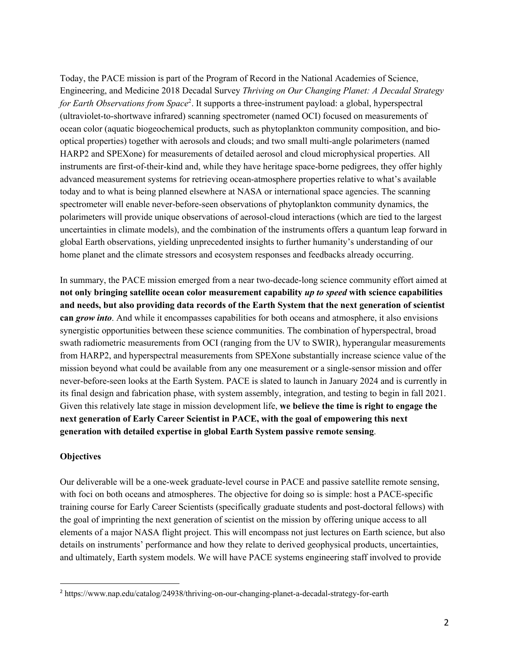Today, the PACE mission is part of the Program of Record in the National Academies of Science, Engineering, and Medicine 2018 Decadal Survey *Thriving on Our Changing Planet: A Decadal Strategy*  for Earth Observations from Space<sup>2</sup>. It supports a three-instrument payload: a global, hyperspectral (ultraviolet-to-shortwave infrared) scanning spectrometer (named OCI) focused on measurements of ocean color (aquatic biogeochemical products, such as phytoplankton community composition, and biooptical properties) together with aerosols and clouds; and two small multi-angle polarimeters (named HARP2 and SPEXone) for measurements of detailed aerosol and cloud microphysical properties. All instruments are first-of-their-kind and, while they have heritage space-borne pedigrees, they offer highly advanced measurement systems for retrieving ocean-atmosphere properties relative to what's available today and to what is being planned elsewhere at NASA or international space agencies. The scanning spectrometer will enable never-before-seen observations of phytoplankton community dynamics, the polarimeters will provide unique observations of aerosol-cloud interactions (which are tied to the largest uncertainties in climate models), and the combination of the instruments offers a quantum leap forward in global Earth observations, yielding unprecedented insights to further humanity's understanding of our home planet and the climate stressors and ecosystem responses and feedbacks already occurring.

In summary, the PACE mission emerged from a near two-decade-long science community effort aimed at **not only bringing satellite ocean color measurement capability** *up to speed* **with science capabilities and needs, but also providing data records of the Earth System that the next generation of scientist can** *grow into*. And while it encompasses capabilities for both oceans and atmosphere, it also envisions synergistic opportunities between these science communities. The combination of hyperspectral, broad swath radiometric measurements from OCI (ranging from the UV to SWIR), hyperangular measurements from HARP2, and hyperspectral measurements from SPEXone substantially increase science value of the mission beyond what could be available from any one measurement or a single-sensor mission and offer never-before-seen looks at the Earth System. PACE is slated to launch in January 2024 and is currently in its final design and fabrication phase, with system assembly, integration, and testing to begin in fall 2021. Given this relatively late stage in mission development life, **we believe the time is right to engage the next generation of Early Career Scientist in PACE, with the goal of empowering this next generation with detailed expertise in global Earth System passive remote sensing**.

### **Objectives**

Our deliverable will be a one-week graduate-level course in PACE and passive satellite remote sensing, with foci on both oceans and atmospheres. The objective for doing so is simple: host a PACE-specific training course for Early Career Scientists (specifically graduate students and post-doctoral fellows) with the goal of imprinting the next generation of scientist on the mission by offering unique access to all elements of a major NASA flight project. This will encompass not just lectures on Earth science, but also details on instruments' performance and how they relate to derived geophysical products, uncertainties, and ultimately, Earth system models. We will have PACE systems engineering staff involved to provide

<sup>2</sup> https://www.nap.edu/catalog/24938/thriving-on-our-changing-planet-a-decadal-strategy-for-earth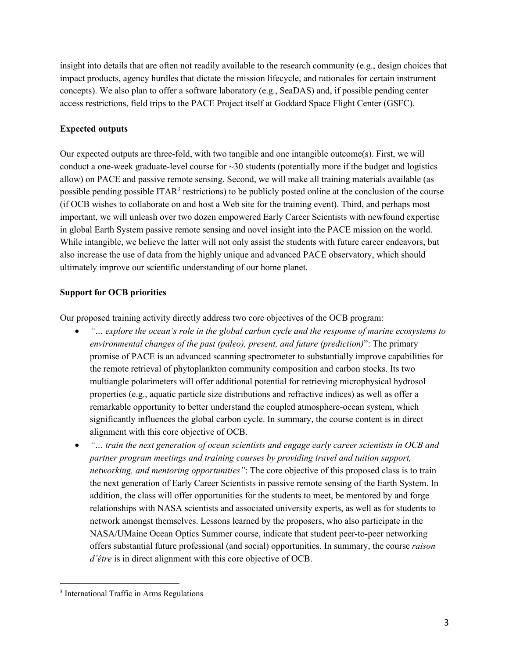insight into details that are often not readily available to the research community (e.g., design choices that impact products, agency hurdles that dictate the mission lifecycle, and rationales for certain instrument concepts). We also plan to offer a software laboratory (e.g., SeaDAS) and, if possible pending center access restrictions, field trips to the PACE Project itself at Goddard Space Flight Center (GSFC).

# **Expected outputs**

Our expected outputs are three-fold, with two tangible and one intangible outcome(s). First, we will conduct a one-week graduate-level course for  $\sim$ 30 students (potentially more if the budget and logistics allow) on PACE and passive remote sensing. Second, we will make all training materials available (as possible pending possible ITAR<sup>3</sup> restrictions) to be publicly posted online at the conclusion of the course (if OCB wishes to collaborate on and host a Web site for the training event). Third, and perhaps most important, we will unleash over two dozen empowered Early Career Scientists with newfound expertise in global Earth System passive remote sensing and novel insight into the PACE mission on the world. While intangible, we believe the latter will not only assist the students with future career endeavors, but also increase the use of data from the highly unique and advanced PACE observatory, which should ultimately improve our scientific understanding of our home planet.

# **Support for OCB priorities**

Our proposed training activity directly address two core objectives of the OCB program:

- *"… explore the ocean's role in the global carbon cycle and the response of marine ecosystems to environmental changes of the past (paleo), present, and future (prediction)*": The primary promise of PACE is an advanced scanning spectrometer to substantially improve capabilities for the remote retrieval of phytoplankton community composition and carbon stocks. Its two multiangle polarimeters will offer additional potential for retrieving microphysical hydrosol properties (e.g., aquatic particle size distributions and refractive indices) as well as offer a remarkable opportunity to better understand the coupled atmosphere-ocean system, which significantly influences the global carbon cycle. In summary, the course content is in direct alignment with this core objective of OCB.
- *"… train the next generation of ocean scientists and engage early career scientists in OCB and partner program meetings and training courses by providing travel and tuition support, networking, and mentoring opportunities"*: The core objective of this proposed class is to train the next generation of Early Career Scientists in passive remote sensing of the Earth System. In addition, the class will offer opportunities for the students to meet, be mentored by and forge relationships with NASA scientists and associated university experts, as well as for students to network amongst themselves. Lessons learned by the proposers, who also participate in the NASA/UMaine Ocean Optics Summer course, indicate that student peer-to-peer networking offers substantial future professional (and social) opportunities. In summary, the course *raison d'être* is in direct alignment with this core objective of OCB.

<sup>&</sup>lt;sup>3</sup> International Traffic in Arms Regulations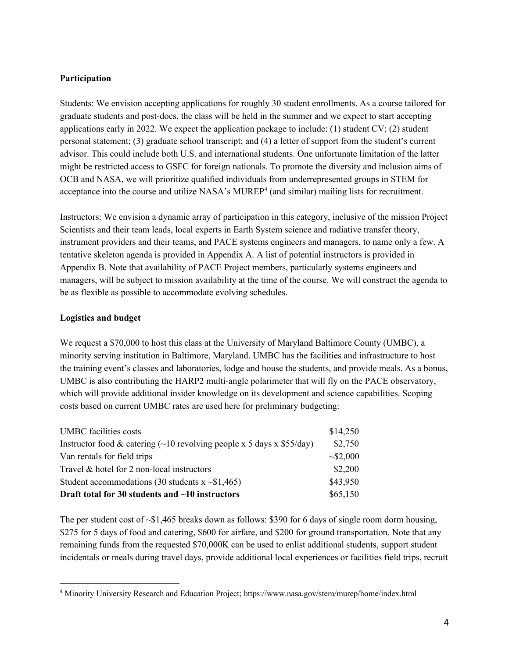## **Participation**

Students: We envision accepting applications for roughly 30 student enrollments. As a course tailored for graduate students and post-docs, the class will be held in the summer and we expect to start accepting applications early in 2022. We expect the application package to include: (1) student CV; (2) student personal statement; (3) graduate school transcript; and (4) a letter of support from the student's current advisor. This could include both U.S. and international students. One unfortunate limitation of the latter might be restricted access to GSFC for foreign nationals. To promote the diversity and inclusion aims of OCB and NASA, we will prioritize qualified individuals from underrepresented groups in STEM for acceptance into the course and utilize NASA's MUREP<sup>4</sup> (and similar) mailing lists for recruitment.

Instructors: We envision a dynamic array of participation in this category, inclusive of the mission Project Scientists and their team leads, local experts in Earth System science and radiative transfer theory, instrument providers and their teams, and PACE systems engineers and managers, to name only a few. A tentative skeleton agenda is provided in Appendix A. A list of potential instructors is provided in Appendix B. Note that availability of PACE Project members, particularly systems engineers and managers, will be subject to mission availability at the time of the course. We will construct the agenda to be as flexible as possible to accommodate evolving schedules.

## **Logistics and budget**

We request a \$70,000 to host this class at the University of Maryland Baltimore County (UMBC), a minority serving institution in Baltimore, Maryland. UMBC has the facilities and infrastructure to host the training event's classes and laboratories, lodge and house the students, and provide meals. As a bonus, UMBC is also contributing the HARP2 multi-angle polarimeter that will fly on the PACE observatory, which will provide additional insider knowledge on its development and science capabilities. Scoping costs based on current UMBC rates are used here for preliminary budgeting:

| <b>UMBC</b> facilities costs                                                | \$14,250     |
|-----------------------------------------------------------------------------|--------------|
| Instructor food & catering $(\sim 10$ revolving people x 5 days x \$55/day) | \$2,750      |
| Van rentals for field trips                                                 | $\sim 2,000$ |
| Travel & hotel for 2 non-local instructors                                  | \$2,200      |
| Student accommodations (30 students $x \sim $1,465$ )                       | \$43,950     |
| Draft total for 30 students and $\sim$ 10 instructors                       | \$65,150     |

The per student cost of  $\sim$ \$1,465 breaks down as follows: \$390 for 6 days of single room dorm housing, \$275 for 5 days of food and catering, \$600 for airfare, and \$200 for ground transportation. Note that any remaining funds from the requested \$70,000K can be used to enlist additional students, support student incidentals or meals during travel days, provide additional local experiences or facilities field trips, recruit

<sup>4</sup> Minority University Research and Education Project; https://www.nasa.gov/stem/murep/home/index.html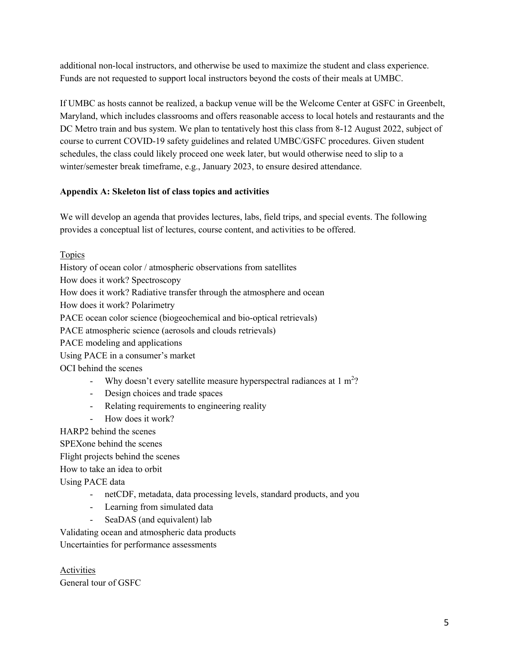additional non-local instructors, and otherwise be used to maximize the student and class experience. Funds are not requested to support local instructors beyond the costs of their meals at UMBC.

If UMBC as hosts cannot be realized, a backup venue will be the Welcome Center at GSFC in Greenbelt, Maryland, which includes classrooms and offers reasonable access to local hotels and restaurants and the DC Metro train and bus system. We plan to tentatively host this class from 8-12 August 2022, subject of course to current COVID-19 safety guidelines and related UMBC/GSFC procedures. Given student schedules, the class could likely proceed one week later, but would otherwise need to slip to a winter/semester break timeframe, e.g., January 2023, to ensure desired attendance.

# **Appendix A: Skeleton list of class topics and activities**

We will develop an agenda that provides lectures, labs, field trips, and special events. The following provides a conceptual list of lectures, course content, and activities to be offered.

Topics

History of ocean color / atmospheric observations from satellites How does it work? Spectroscopy How does it work? Radiative transfer through the atmosphere and ocean How does it work? Polarimetry PACE ocean color science (biogeochemical and bio-optical retrievals) PACE atmospheric science (aerosols and clouds retrievals) PACE modeling and applications Using PACE in a consumer's market OCI behind the scenes - Why doesn't every satellite measure hyperspectral radiances at  $1 \text{ m}^2$ ?

- Design choices and trade spaces
- Relating requirements to engineering reality
- How does it work?

HARP2 behind the scenes

SPEXone behind the scenes

Flight projects behind the scenes

How to take an idea to orbit

Using PACE data

- netCDF, metadata, data processing levels, standard products, and you
- Learning from simulated data
- SeaDAS (and equivalent) lab

Validating ocean and atmospheric data products

Uncertainties for performance assessments

Activities General tour of GSFC